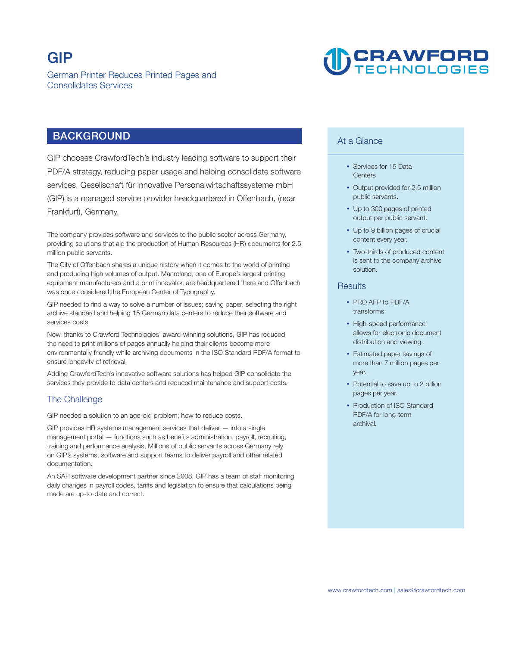## **CRAWFORD**

## **BACKGROUND**

**GIP chooses CrawfordTech's industry leading software to support their PDF/A strategy, reducing paper usage and helping consolidate software services. Gesellschaft für Innovative Personalwirtschaftssysteme mbH (GIP) is a managed service provider headquartered in Offenbach, (near Frankfurt), Germany.** 

**The company provides software and services to the public sector across Germany, providing solutions that aid the production of Human Resources (HR) documents for 2.5 million public servants.** 

**The City of Offenbach shares a unique history when it comes to the world of printing and producing high volumes of output. Manroland, one of Europe's largest printing equipment manufacturers and a print innovator, are headquartered there and Offenbach was once considered the European Center of Typography.** 

**GIP needed to find a way to solve a number of issues; saving paper, selecting the right archive standard and helping 15 German data centers to reduce their software and services costs.** 

**Now, thanks to Crawford Technologies' award-winning solutions, GIP has reduced the need to print millions of pages annually helping their clients become more environmentally friendly while archiving documents in the ISO Standard PDF/A format to ensure longevity of retrieval.** 

**Adding CrawfordTech's innovative software solutions has helped GIP consolidate the services they provide to data centers and reduced maintenance and support costs.** 

### **The Challenge**

**GIP needed a solution to an age-old problem; how to reduce costs.** 

**GIP provides HR systems management services that deliver — into a single management portal — functions such as benefits administration, payroll, recruiting, training and performance analysis. Millions of public servants across Germany rely on GIP's systems, software and support teams to deliver payroll and other related documentation.** 

**An SAP software development partner since 2008, GIP has a team of staff monitoring daily changes in payroll codes, tariffs and legislation to ensure that calculations being made are up-to-date and correct.** 

#### **At a Glance**

- **Services for 15 Data Centers**
- **Output provided for 2.5 million public servants.**
- **Up to 300 pages of printed output per public servant.**
- **Up to 9 billion pages of crucial content every year.**
- **Two-thirds of produced content is sent to the company archive solution.**

#### **Results**

- **PRO AFP to PDF/A transforms**
- **High-speed performance allows for electronic document distribution and viewing.**
- **Estimated paper savings of more than 7 million pages per year.**
- **Potential to save up to 2 billion pages per year.**
- **Production of ISO Standard PDF/A for long-term archival.**

**| <www.crawfordtech.com>[sales@crawfordtech.com](mailto:sales@crawfordtech.com)**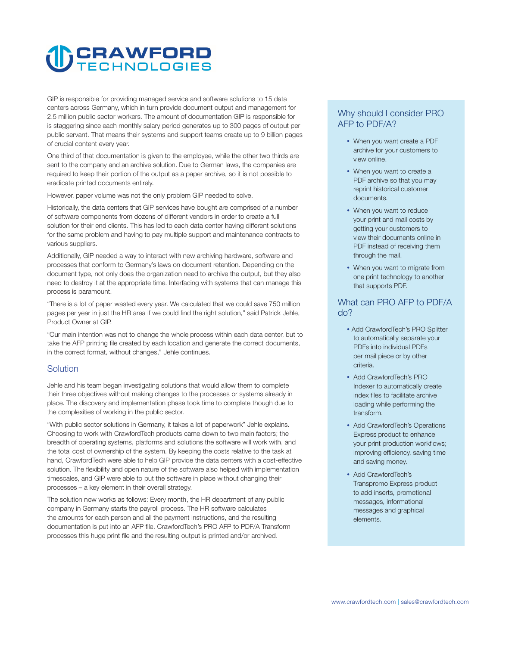# **CRAWFORD**

**GIP is responsible for providing managed service and software solutions to 15 data centers across Germany, which in turn provide document output and management for 2.5 million public sector workers. The amount of documentation GIP is responsible for is staggering since each monthly salary period generates up to 300 pages of output per public servant. That means their systems and support teams create up to 9 billion pages of crucial content every year.** 

**One third of that documentation is given to the employee, while the other two thirds are sent to the company and an archive solution. Due to German laws, the companies are required to keep their portion of the output as a paper archive, so it is not possible to eradicate printed documents entirely.** 

**However, paper volume was not the only problem GIP needed to solve.** 

**Historically, the data centers that GIP services have bought are comprised of a number of software components from dozens of different vendors in order to create a full solution for their end clients. This has led to each data center having different solutions for the same problem and having to pay multiple support and maintenance contracts to various suppliers.** 

**Additionally, GIP needed a way to interact with new archiving hardware, software and processes that conform to Germany's laws on document retention. Depending on the document type, not only does the organization need to archive the output, but they also need to destroy it at the appropriate time. Interfacing with systems that can manage this process is paramount.** 

**"There is a lot of paper wasted every year. We calculated that we could save 750 million pages per year in just the HR area if we could find the right solution," said Patrick Jehle, Product Owner at GIP.** 

**"Our main intention was not to change the whole process within each data center, but to take the AFP printing file created by each location and generate the correct documents, in the correct format, without changes," Jehle continues.** 

#### **Solution**

**Jehle and his team began investigating solutions that would allow them to complete their three objectives without making changes to the processes or systems already in place. The discovery and implementation phase took time to complete though due to the complexities of working in the public sector.** 

**"With public sector solutions in Germany, it takes a lot of paperwork" Jehle explains. Choosing to work with CrawfordTech products came down to two main factors; the breadth of operating systems, platforms and solutions the software will work with, and the total cost of ownership of the system. By keeping the costs relative to the task at hand, CrawfordTech were able to help GIP provide the data centers with a cost-effective solution. The flexibility and open nature of the software also helped with implementation timescales, and GIP were able to put the software in place without changing their processes – a key element in their overall strategy.** 

**The solution now works as follows: Every month, the HR department of any public company in Germany starts the payroll process. The HR software calculates the amounts for each person and all the payment instructions, and the resulting documentation is put into an AFP file. CrawfordTech's PRO AFP to PDF/A Transform processes this huge print file and the resulting output is printed and/or archived.** 

### **Why should I consider PRO AFP to PDF/A?**

- **When you want create a PDF archive for your customers to view online.**
- **When you want to create a PDF archive so that you may reprint historical customer documents.**
- **When you want to reduce your print and mail costs by getting your customers to view their documents online in PDF instead of receiving them through the mail.**
- **When you want to migrate from one print technology to another that supports PDF.**

#### **What can PRO AFP to PDF/A do?**

- **Add CrawfordTech's PRO Splitter to automatically separate your PDFs into individual PDFs per mail piece or by other criteria.**
- **Add CrawfordTech's PRO Indexer to automatically create index files to facilitate archive loading while performing the transform.**
- **Add CrawfordTech's Operations Express product to enhance your print production workflows; improving efficiency, saving time and saving money.**
- **Add CrawfordTech's Transpromo Express product to add inserts, promotional messages, informational messages and graphical elements.**